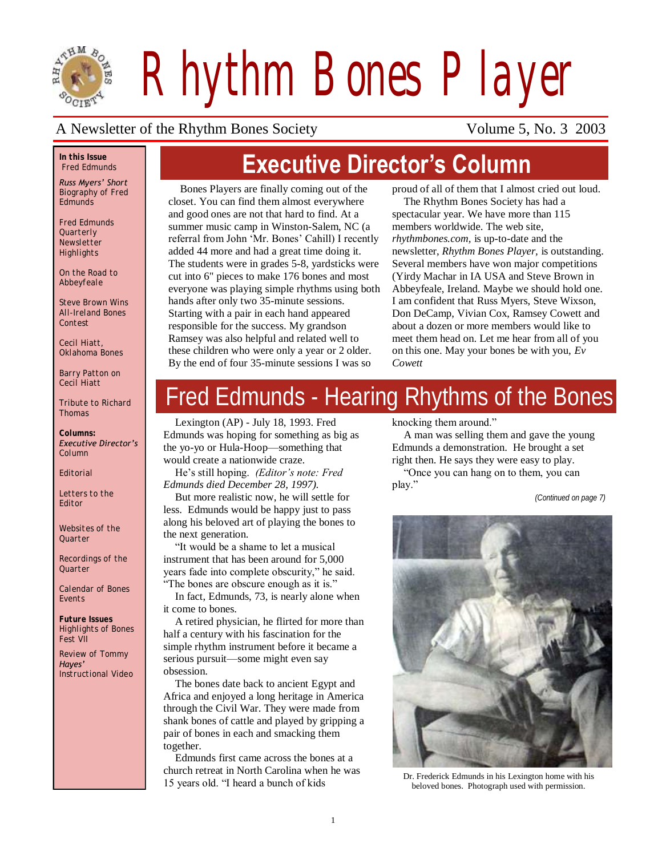

*Rhythm Bones Player*

### A Newsletter of the Rhythm Bones Society Volume 5, No. 3 2003

### *In this Issue Fred Edmunds*

*Russ Myers' Short Biography of Fred Edmunds*

*Fred Edmunds Quarterly Newsletter Highlights*

*On the Road to Abbeyfeale*

*Steve Brown Wins All-Ireland Bones Contest*

*Cecil Hiatt, Oklahoma Bones*

*Barry Patton on Cecil Hiatt*

*Tribute to Richard Thomas*

*Columns: Executive Director's Column*

*Editorial*

*Letters to the Editor*

*Websites of the Quarter*

*Recordings of the Quarter*

*Calendar of Bones Events*

*Future Issues Highlights of Bones Fest VII*

*Review of Tommy Hayes' Instructional Video*

# **Executive Director's Column**

Bones Players are finally coming out of the closet. You can find them almost everywhere and good ones are not that hard to find. At a summer music camp in Winston-Salem, NC (a referral from John "Mr. Bones" Cahill) I recently added 44 more and had a great time doing it. The students were in grades 5-8, yardsticks were cut into 6" pieces to make 176 bones and most everyone was playing simple rhythms using both hands after only two 35-minute sessions. Starting with a pair in each hand appeared responsible for the success. My grandson Ramsey was also helpful and related well to these children who were only a year or 2 older. By the end of four 35-minute sessions I was so

proud of all of them that I almost cried out loud.

The Rhythm Bones Society has had a spectacular year. We have more than 115 members worldwide. The web site, *rhythmbones.com,* is up-to-date and the newsletter, *Rhythm Bones Player,* is outstanding. Several members have won major competitions (Yirdy Machar in IA USA and Steve Brown in Abbeyfeale, Ireland. Maybe we should hold one. I am confident that Russ Myers, Steve Wixson, Don DeCamp, Vivian Cox, Ramsey Cowett and about a dozen or more members would like to meet them head on. Let me hear from all of you on this one. May your bones be with you, *Ev Cowett* 

# Fred Edmunds - Hearing Rhythms of the Bones

Lexington (AP) - July 18, 1993. Fred Edmunds was hoping for something as big as the yo-yo or Hula-Hoop—something that would create a nationwide craze.

He"s still hoping. *(Editor's note: Fred Edmunds died December 28, 1997).*

But more realistic now, he will settle for less. Edmunds would be happy just to pass along his beloved art of playing the bones to the next generation.

"It would be a shame to let a musical instrument that has been around for 5,000 years fade into complete obscurity," he said. "The bones are obscure enough as it is."

In fact, Edmunds, 73, is nearly alone when it come to bones.

A retired physician, he flirted for more than half a century with his fascination for the simple rhythm instrument before it became a serious pursuit—some might even say obsession.

The bones date back to ancient Egypt and Africa and enjoyed a long heritage in America through the Civil War. They were made from shank bones of cattle and played by gripping a pair of bones in each and smacking them together.

Edmunds first came across the bones at a church retreat in North Carolina when he was 15 years old. "I heard a bunch of kids

knocking them around."

A man was selling them and gave the young Edmunds a demonstration. He brought a set right then. He says they were easy to play.

"Once you can hang on to them, you can play."

*(Continued on page 7)*



Dr. Frederick Edmunds in his Lexington home with his beloved bones. Photograph used with permission.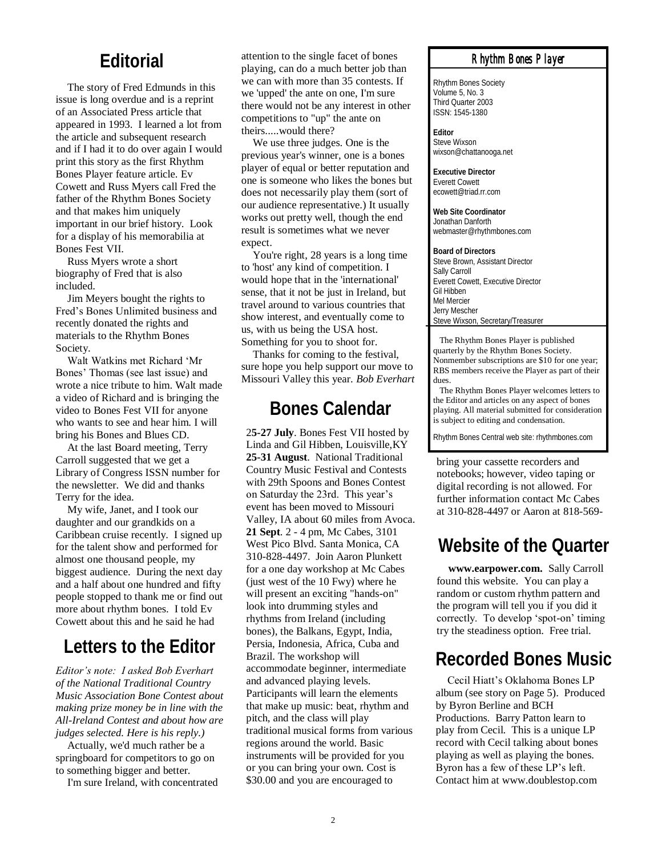## **Editorial**

The story of Fred Edmunds in this issue is long overdue and is a reprint of an Associated Press article that appeared in 1993. I learned a lot from the article and subsequent research and if I had it to do over again I would print this story as the first Rhythm Bones Player feature article. Ev Cowett and Russ Myers call Fred the father of the Rhythm Bones Society and that makes him uniquely important in our brief history. Look for a display of his memorabilia at Bones Fest VII.

Russ Myers wrote a short biography of Fred that is also included.

Jim Meyers bought the rights to Fred"s Bones Unlimited business and recently donated the rights and materials to the Rhythm Bones Society.

Walt Watkins met Richard "Mr Bones" Thomas (see last issue) and wrote a nice tribute to him. Walt made a video of Richard and is bringing the video to Bones Fest VII for anyone who wants to see and hear him. I will bring his Bones and Blues CD.

At the last Board meeting, Terry Carroll suggested that we get a Library of Congress ISSN number for the newsletter. We did and thanks Terry for the idea.

My wife, Janet, and I took our daughter and our grandkids on a Caribbean cruise recently. I signed up for the talent show and performed for almost one thousand people, my biggest audience. During the next day and a half about one hundred and fifty people stopped to thank me or find out more about rhythm bones. I told Ev Cowett about this and he said he had

*Editor's note: I asked Bob Everhart of the National Traditional Country Music Association Bone Contest about making prize money be in line with the All-Ireland Contest and about how are judges selected. Here is his reply.)* 

Actually, we'd much rather be a springboard for competitors to go on to something bigger and better.

I'm sure Ireland, with concentrated

attention to the single facet of bones playing, can do a much better job than we can with more than 35 contests. If we 'upped' the ante on one, I'm sure there would not be any interest in other competitions to "up" the ante on theirs.....would there?

We use three judges. One is the previous year's winner, one is a bones player of equal or better reputation and one is someone who likes the bones but does not necessarily play them (sort of our audience representative.) It usually works out pretty well, though the end result is sometimes what we never expect.

You're right, 28 years is a long time to 'host' any kind of competition. I would hope that in the 'international' sense, that it not be just in Ireland, but travel around to various countries that show interest, and eventually come to us, with us being the USA host. Something for you to shoot for.

Thanks for coming to the festival, sure hope you help support our move to Missouri Valley this year. *Bob Everhart*

## **Bones Calendar**

Letters to the Editor Persia, Indonesia, Africa, Cuba and<br>Brazil. The workshop will Recorded Bones Music 2**5-27 July**. Bones Fest VII hosted by Linda and Gil Hibben, Louisville,KY **25-31 August**. National Traditional Country Music Festival and Contests with 29th Spoons and Bones Contest on Saturday the 23rd. This year"s event has been moved to Missouri Valley, IA about 60 miles from Avoca. **21 Sept**. 2 - 4 pm, Mc Cabes, 3101 West Pico Blvd. Santa Monica, CA 310-828-4497. Join Aaron Plunkett for a one day workshop at Mc Cabes (just west of the 10 Fwy) where he will present an exciting "hands-on" look into drumming styles and rhythms from Ireland (including bones), the Balkans, Egypt, India, Persia, Indonesia, Africa, Cuba and Brazil. The workshop will accommodate beginner, intermediate and advanced playing levels. Participants will learn the elements that make up music: beat, rhythm and pitch, and the class will play traditional musical forms from various regions around the world. Basic instruments will be provided for you or you can bring your own. Cost is \$30.00 and you are encouraged to

### *Rhythm Bones Player*

Rhythm Bones Society Volume 5, No. 3 Third Quarter 2003 ISSN: 1545-1380

**Editor** Steve Wixson wixson@chattanooga.net

**Executive Director** Everett Cowett ecowett@triad.rr.com

**Web Site Coordinator** Jonathan Danforth webmaster@rhythmbones.com

**Board of Directors** Steve Brown, Assistant Director Sally Carroll Everett Cowett, Executive Director Gil Hibben Mel Mercier Jerry Mescher Steve Wixson, Secretary/Treasurer

 The Rhythm Bones Player is published quarterly by the Rhythm Bones Society. Nonmember subscriptions are \$10 for one year; RBS members receive the Player as part of their dues.

 The Rhythm Bones Player welcomes letters to the Editor and articles on any aspect of bones playing. All material submitted for consideration is subject to editing and condensation.

Rhythm Bones Central web site: rhythmbones.com

bring your cassette recorders and notebooks; however, video taping or digital recording is not allowed. For further information contact Mc Cabes at 310-828-4497 or Aaron at 818-569-

## **Website of the Quarter**

**www.earpower.com.** Sally Carroll found this website. You can play a random or custom rhythm pattern and the program will tell you if you did it correctly. To develop 'spot-on' timing try the steadiness option. Free trial.

Cecil Hiatt"s Oklahoma Bones LP album (see story on Page 5). Produced by Byron Berline and BCH Productions. Barry Patton learn to play from Cecil. This is a unique LP record with Cecil talking about bones playing as well as playing the bones. Byron has a few of these LP"s left. Contact him at www.doublestop.com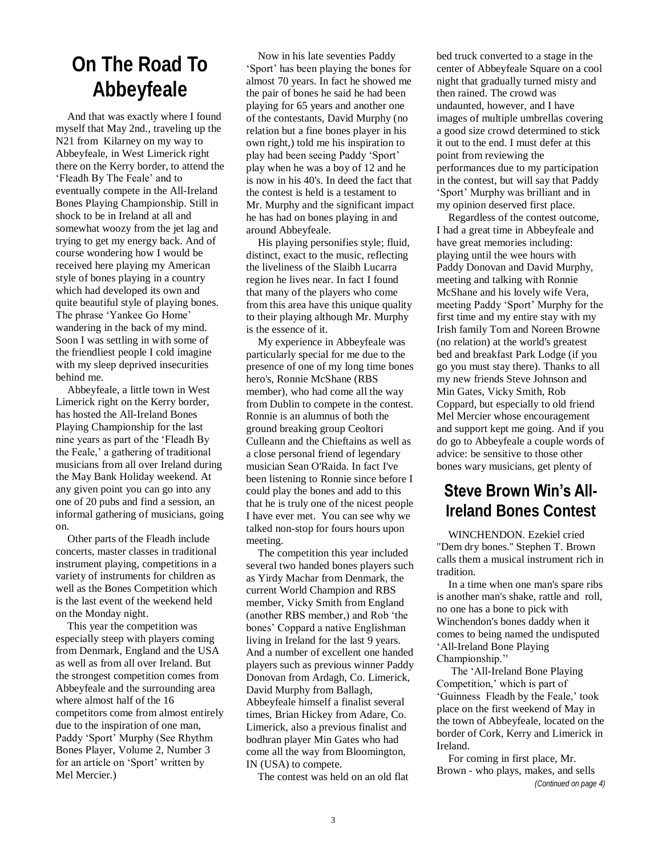## **On The Road To Abbeyfeale**

And that was exactly where I found myself that May 2nd., traveling up the N21 from Kilarney on my way to Abbeyfeale, in West Limerick right there on the Kerry border, to attend the "Fleadh By The Feale" and to eventually compete in the All-Ireland Bones Playing Championship. Still in shock to be in Ireland at all and somewhat woozy from the jet lag and trying to get my energy back. And of course wondering how I would be received here playing my American style of bones playing in a country which had developed its own and quite beautiful style of playing bones. The phrase 'Yankee Go Home' wandering in the back of my mind. Soon I was settling in with some of the friendliest people I cold imagine with my sleep deprived insecurities behind me.

Abbeyfeale, a little town in West Limerick right on the Kerry border, has hosted the All-Ireland Bones Playing Championship for the last nine years as part of the "Fleadh By the Feale," a gathering of traditional musicians from all over Ireland during the May Bank Holiday weekend. At any given point you can go into any one of 20 pubs and find a session, an informal gathering of musicians, going on.

Other parts of the Fleadh include concerts, master classes in traditional instrument playing, competitions in a variety of instruments for children as well as the Bones Competition which is the last event of the weekend held on the Monday night.

This year the competition was especially steep with players coming from Denmark, England and the USA as well as from all over Ireland. But the strongest competition comes from Abbeyfeale and the surrounding area where almost half of the 16 competitors come from almost entirely due to the inspiration of one man, Paddy "Sport" Murphy (See Rhythm Bones Player, Volume 2, Number 3 for an article on 'Sport' written by Mel Mercier.)

Now in his late seventies Paddy "Sport" has been playing the bones for almost 70 years. In fact he showed me the pair of bones he said he had been playing for 65 years and another one of the contestants, David Murphy (no relation but a fine bones player in his own right,) told me his inspiration to play had been seeing Paddy "Sport" play when he was a boy of 12 and he is now in his 40's. In deed the fact that the contest is held is a testament to Mr. Murphy and the significant impact he has had on bones playing in and around Abbeyfeale.

His playing personifies style; fluid, distinct, exact to the music, reflecting the liveliness of the Slaibh Lucarra region he lives near. In fact I found that many of the players who come from this area have this unique quality to their playing although Mr. Murphy is the essence of it.

My experience in Abbeyfeale was particularly special for me due to the presence of one of my long time bones hero's, Ronnie McShane (RBS member), who had come all the way from Dublin to compete in the contest. Ronnie is an alumnus of both the ground breaking group Ceoltori Culleann and the Chieftains as well as a close personal friend of legendary musician Sean O'Raida. In fact I've been listening to Ronnie since before I could play the bones and add to this that he is truly one of the nicest people I have ever met. You can see why we talked non-stop for fours hours upon meeting.

The competition this year included several two handed bones players such as Yirdy Machar from Denmark, the current World Champion and RBS member, Vicky Smith from England (another RBS member,) and Rob "the bones" Coppard a native Englishman living in Ireland for the last 9 years. And a number of excellent one handed players such as previous winner Paddy Donovan from Ardagh, Co. Limerick, David Murphy from Ballagh, Abbeyfeale himself a finalist several times, Brian Hickey from Adare, Co. Limerick, also a previous finalist and bodhran player Min Gates who had come all the way from Bloomington, IN (USA) to compete.

The contest was held on an old flat

bed truck converted to a stage in the center of Abbeyfeale Square on a cool night that gradually turned misty and then rained. The crowd was undaunted, however, and I have images of multiple umbrellas covering a good size crowd determined to stick it out to the end. I must defer at this point from reviewing the performances due to my participation in the contest, but will say that Paddy "Sport" Murphy was brilliant and in my opinion deserved first place.

Regardless of the contest outcome, I had a great time in Abbeyfeale and have great memories including: playing until the wee hours with Paddy Donovan and David Murphy, meeting and talking with Ronnie McShane and his lovely wife Vera, meeting Paddy "Sport" Murphy for the first time and my entire stay with my Irish family Tom and Noreen Browne (no relation) at the world's greatest bed and breakfast Park Lodge (if you go you must stay there). Thanks to all my new friends Steve Johnson and Min Gates, Vicky Smith, Rob Coppard, but especially to old friend Mel Mercier whose encouragement and support kept me going. And if you do go to Abbeyfeale a couple words of advice: be sensitive to those other bones wary musicians, get plenty of

## **Steve Brown Win's All-Ireland Bones Contest**

WINCHENDON. Ezekiel cried "Dem dry bones.'' Stephen T. Brown calls them a musical instrument rich in tradition.

In a time when one man's spare ribs is another man's shake, rattle and roll, no one has a bone to pick with Winchendon's bones daddy when it comes to being named the undisputed "All-Ireland Bone Playing Championship."'

The "All-Ireland Bone Playing Competition,' which is part of 'Guinness Fleadh by the Feale,' took place on the first weekend of May in the town of Abbeyfeale, located on the border of Cork, Kerry and Limerick in Ireland.

For coming in first place, Mr. Brown - who plays, makes, and sells *(Continued on page 4)*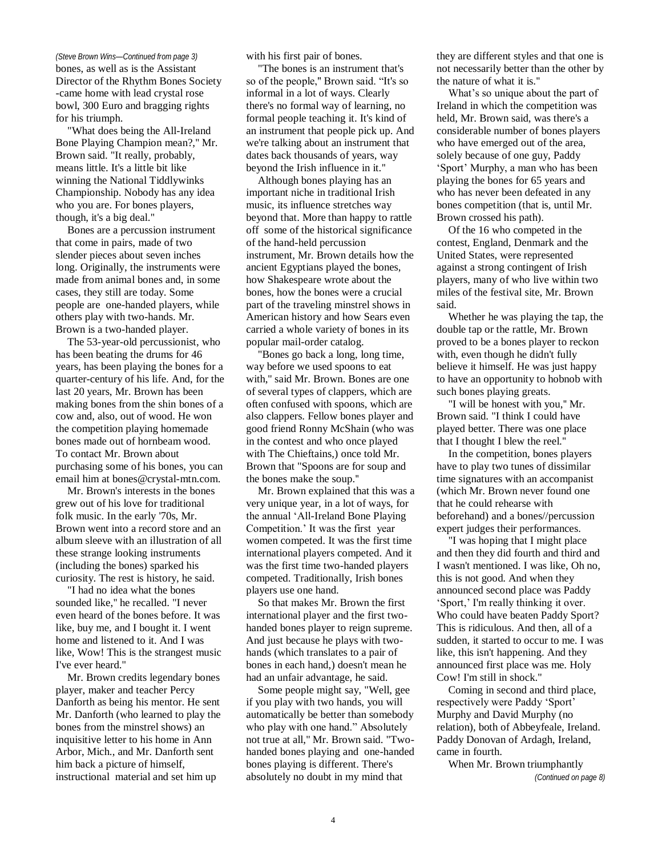bones, as well as is the Assistant Director of the Rhythm Bones Society -came home with lead crystal rose bowl, 300 Euro and bragging rights for his triumph.

"What does being the All-Ireland Bone Playing Champion mean?,'' Mr. Brown said. "It really, probably, means little. It's a little bit like winning the National Tiddlywinks Championship. Nobody has any idea who you are. For bones players, though, it's a big deal.''

Bones are a percussion instrument that come in pairs, made of two slender pieces about seven inches long. Originally, the instruments were made from animal bones and, in some cases, they still are today. Some people are one-handed players, while others play with two-hands. Mr. Brown is a two-handed player.

The 53-year-old percussionist, who has been beating the drums for 46 years, has been playing the bones for a quarter-century of his life. And, for the last 20 years, Mr. Brown has been making bones from the shin bones of a cow and, also, out of wood. He won the competition playing homemade bones made out of hornbeam wood. To contact Mr. Brown about purchasing some of his bones, you can email him at bones@crystal-mtn.com.

Mr. Brown's interests in the bones grew out of his love for traditional folk music. In the early '70s, Mr. Brown went into a record store and an album sleeve with an illustration of all these strange looking instruments (including the bones) sparked his curiosity. The rest is history, he said.

"I had no idea what the bones sounded like,'' he recalled. "I never even heard of the bones before. It was like, buy me, and I bought it. I went home and listened to it. And I was like, Wow! This is the strangest music I've ever heard.''

Mr. Brown credits legendary bones player, maker and teacher Percy Danforth as being his mentor. He sent Mr. Danforth (who learned to play the bones from the minstrel shows) an inquisitive letter to his home in Ann Arbor, Mich., and Mr. Danforth sent him back a picture of himself, instructional material and set him up

with his first pair of bones.

"The bones is an instrument that's so of the people,'' Brown said. "It's so informal in a lot of ways. Clearly there's no formal way of learning, no formal people teaching it. It's kind of an instrument that people pick up. And we're talking about an instrument that dates back thousands of years, way beyond the Irish influence in it.''

Although bones playing has an important niche in traditional Irish music, its influence stretches way beyond that. More than happy to rattle off some of the historical significance of the hand-held percussion instrument, Mr. Brown details how the ancient Egyptians played the bones, how Shakespeare wrote about the bones, how the bones were a crucial part of the traveling minstrel shows in American history and how Sears even carried a whole variety of bones in its popular mail-order catalog.

"Bones go back a long, long time, way before we used spoons to eat with," said Mr. Brown. Bones are one of several types of clappers, which are often confused with spoons, which are also clappers. Fellow bones player and good friend Ronny McShain (who was in the contest and who once played with The Chieftains,) once told Mr. Brown that "Spoons are for soup and the bones make the soup.''

Mr. Brown explained that this was a very unique year, in a lot of ways, for the annual "All-Ireland Bone Playing Competition." It was the first year women competed. It was the first time international players competed. And it was the first time two-handed players competed. Traditionally, Irish bones players use one hand.

So that makes Mr. Brown the first international player and the first twohanded bones player to reign supreme. And just because he plays with twohands (which translates to a pair of bones in each hand,) doesn't mean he had an unfair advantage, he said.

Some people might say, "Well, gee if you play with two hands, you will automatically be better than somebody who play with one hand." Absolutely not true at all,'' Mr. Brown said. "Twohanded bones playing and one-handed bones playing is different. There's absolutely no doubt in my mind that

*(Steve Brown Wins—Continued from page 3)* they are different styles and that one is not necessarily better than the other by the nature of what it is.''

> What's so unique about the part of Ireland in which the competition was held, Mr. Brown said, was there's a considerable number of bones players who have emerged out of the area, solely because of one guy, Paddy "Sport" Murphy, a man who has been playing the bones for 65 years and who has never been defeated in any bones competition (that is, until Mr. Brown crossed his path).

> Of the 16 who competed in the contest, England, Denmark and the United States, were represented against a strong contingent of Irish players, many of who live within two miles of the festival site, Mr. Brown said.

Whether he was playing the tap, the double tap or the rattle, Mr. Brown proved to be a bones player to reckon with, even though he didn't fully believe it himself. He was just happy to have an opportunity to hobnob with such bones playing greats.

"I will be honest with you,'' Mr. Brown said. "I think I could have played better. There was one place that I thought I blew the reel.''

In the competition, bones players have to play two tunes of dissimilar time signatures with an accompanist (which Mr. Brown never found one that he could rehearse with beforehand) and a bones//percussion expert judges their performances.

"I was hoping that I might place and then they did fourth and third and I wasn't mentioned. I was like, Oh no, this is not good. And when they announced second place was Paddy 'Sport,' I'm really thinking it over. Who could have beaten Paddy Sport? This is ridiculous. And then, all of a sudden, it started to occur to me. I was like, this isn't happening. And they announced first place was me. Holy Cow! I'm still in shock.''

Coming in second and third place, respectively were Paddy "Sport" Murphy and David Murphy (no relation), both of Abbeyfeale, Ireland. Paddy Donovan of Ardagh, Ireland, came in fourth.

When Mr. Brown triumphantly

*(Continued on page 8)*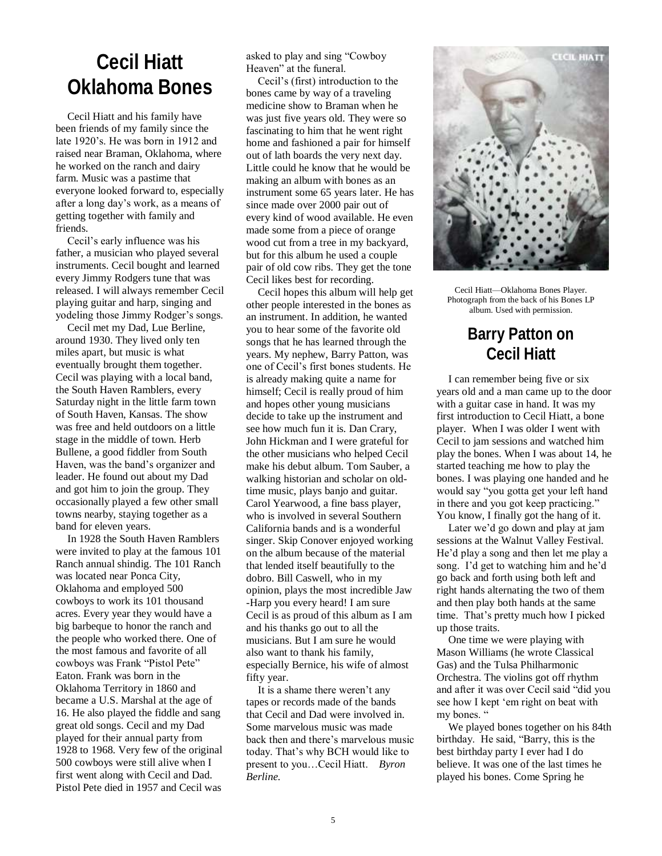## **Cecil Hiatt Oklahoma Bones**

Cecil Hiatt and his family have been friends of my family since the late 1920"s. He was born in 1912 and raised near Braman, Oklahoma, where he worked on the ranch and dairy farm. Music was a pastime that everyone looked forward to, especially after a long day"s work, as a means of getting together with family and friends.

Cecil"s early influence was his father, a musician who played several instruments. Cecil bought and learned every Jimmy Rodgers tune that was released. I will always remember Cecil playing guitar and harp, singing and yodeling those Jimmy Rodger's songs.

Cecil met my Dad, Lue Berline, around 1930. They lived only ten miles apart, but music is what eventually brought them together. Cecil was playing with a local band, the South Haven Ramblers, every Saturday night in the little farm town of South Haven, Kansas. The show was free and held outdoors on a little stage in the middle of town. Herb Bullene, a good fiddler from South Haven, was the band"s organizer and leader. He found out about my Dad and got him to join the group. They occasionally played a few other small towns nearby, staying together as a band for eleven years.

In 1928 the South Haven Ramblers were invited to play at the famous 101 Ranch annual shindig. The 101 Ranch was located near Ponca City, Oklahoma and employed 500 cowboys to work its 101 thousand acres. Every year they would have a big barbeque to honor the ranch and the people who worked there. One of the most famous and favorite of all cowboys was Frank "Pistol Pete" Eaton. Frank was born in the Oklahoma Territory in 1860 and became a U.S. Marshal at the age of 16. He also played the fiddle and sang great old songs. Cecil and my Dad played for their annual party from 1928 to 1968. Very few of the original 500 cowboys were still alive when I first went along with Cecil and Dad. Pistol Pete died in 1957 and Cecil was

asked to play and sing "Cowboy Heaven" at the funeral.

Cecil"s (first) introduction to the bones came by way of a traveling medicine show to Braman when he was just five years old. They were so fascinating to him that he went right home and fashioned a pair for himself out of lath boards the very next day. Little could he know that he would be making an album with bones as an instrument some 65 years later. He has since made over 2000 pair out of every kind of wood available. He even made some from a piece of orange wood cut from a tree in my backyard, but for this album he used a couple pair of old cow ribs. They get the tone Cecil likes best for recording.

Cecil hopes this album will help get other people interested in the bones as an instrument. In addition, he wanted you to hear some of the favorite old songs that he has learned through the years. My nephew, Barry Patton, was one of Cecil"s first bones students. He is already making quite a name for himself; Cecil is really proud of him and hopes other young musicians decide to take up the instrument and see how much fun it is. Dan Crary, John Hickman and I were grateful for the other musicians who helped Cecil make his debut album. Tom Sauber, a walking historian and scholar on oldtime music, plays banjo and guitar. Carol Yearwood, a fine bass player, who is involved in several Southern California bands and is a wonderful singer. Skip Conover enjoyed working on the album because of the material that lended itself beautifully to the dobro. Bill Caswell, who in my opinion, plays the most incredible Jaw -Harp you every heard! I am sure Cecil is as proud of this album as I am and his thanks go out to all the musicians. But I am sure he would also want to thank his family, especially Bernice, his wife of almost fifty year.

It is a shame there weren"t any tapes or records made of the bands that Cecil and Dad were involved in. Some marvelous music was made back then and there"s marvelous music today. That"s why BCH would like to present to you…Cecil Hiatt. *Byron Berline.*



Cecil Hiatt—Oklahoma Bones Player. Photograph from the back of his Bones LP album. Used with permission.

## **Barry Patton on Cecil Hiatt**

I can remember being five or six years old and a man came up to the door with a guitar case in hand. It was my first introduction to Cecil Hiatt, a bone player. When I was older I went with Cecil to jam sessions and watched him play the bones. When I was about 14, he started teaching me how to play the bones. I was playing one handed and he would say "you gotta get your left hand in there and you got keep practicing." You know, I finally got the hang of it.

Later we'd go down and play at jam sessions at the Walnut Valley Festival. He"d play a song and then let me play a song. I'd get to watching him and he'd go back and forth using both left and right hands alternating the two of them and then play both hands at the same time. That"s pretty much how I picked up those traits.

One time we were playing with Mason Williams (he wrote Classical Gas) and the Tulsa Philharmonic Orchestra. The violins got off rhythm and after it was over Cecil said "did you see how I kept "em right on beat with my bones. "

We played bones together on his 84th birthday. He said, "Barry, this is the best birthday party I ever had I do believe. It was one of the last times he played his bones. Come Spring he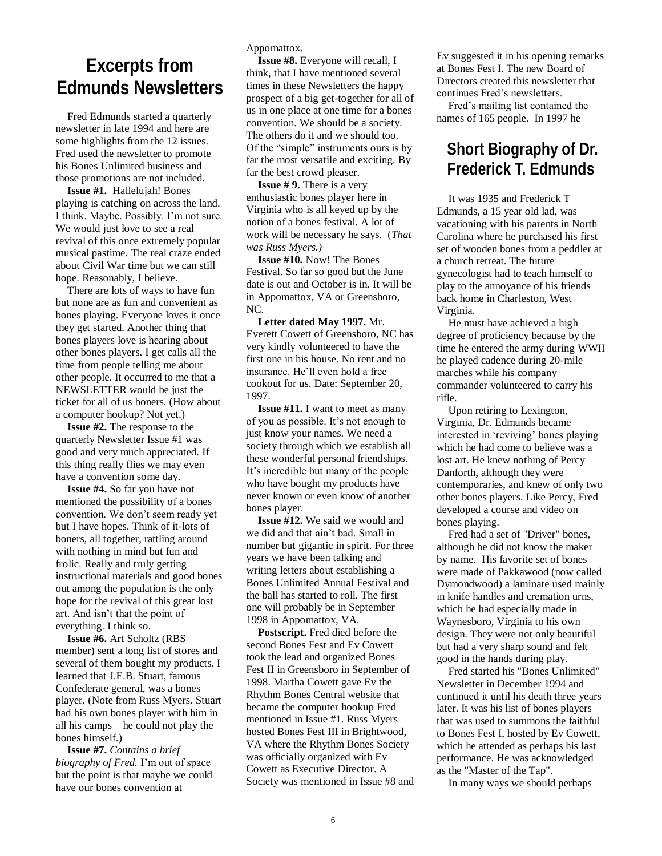## **Excerpts from Edmunds Newsletters**

Fred Edmunds started a quarterly newsletter in late 1994 and here are some highlights from the 12 issues. Fred used the newsletter to promote his Bones Unlimited business and those promotions are not included.

**Issue #1.** Hallelujah! Bones playing is catching on across the land. I think. Maybe. Possibly. I"m not sure. We would just love to see a real revival of this once extremely popular musical pastime. The real craze ended about Civil War time but we can still hope. Reasonably, I believe.

There are lots of ways to have fun but none are as fun and convenient as bones playing. Everyone loves it once they get started. Another thing that bones players love is hearing about other bones players. I get calls all the time from people telling me about other people. It occurred to me that a NEWSLETTER would be just the ticket for all of us boners. (How about a computer hookup? Not yet.)

**Issue #2.** The response to the quarterly Newsletter Issue #1 was good and very much appreciated. If this thing really flies we may even have a convention some day.

**Issue #4.** So far you have not mentioned the possibility of a bones convention. We don"t seem ready yet but I have hopes. Think of it-lots of boners, all together, rattling around with nothing in mind but fun and frolic. Really and truly getting instructional materials and good bones out among the population is the only hope for the revival of this great lost art. And isn"t that the point of everything. I think so.

**Issue #6.** Art Scholtz (RBS member) sent a long list of stores and several of them bought my products. I learned that J.E.B. Stuart, famous Confederate general, was a bones player. (Note from Russ Myers. Stuart had his own bones player with him in all his camps—he could not play the bones himself.)

**Issue #7.** *Contains a brief biography of Fred.* I'm out of space but the point is that maybe we could have our bones convention at

Appomattox.

**Issue #8.** Everyone will recall, I think, that I have mentioned several times in these Newsletters the happy prospect of a big get-together for all of us in one place at one time for a bones convention. We should be a society. The others do it and we should too. Of the "simple" instruments ours is by far the most versatile and exciting. By far the best crowd pleaser.

**Issue # 9.** There is a very enthusiastic bones player here in Virginia who is all keyed up by the notion of a bones festival. A lot of work will be necessary he says. (*That was Russ Myers.)*

**Issue #10.** Now! The Bones Festival. So far so good but the June date is out and October is in. It will be in Appomattox, VA or Greensboro, NC.

**Letter dated May 1997.** Mr. Everett Cowett of Greensboro, NC has very kindly volunteered to have the first one in his house. No rent and no insurance. He"ll even hold a free cookout for us. Date: September 20, 1997.

**Issue #11.** I want to meet as many of you as possible. It"s not enough to just know your names. We need a society through which we establish all these wonderful personal friendships. It"s incredible but many of the people who have bought my products have never known or even know of another bones player.

**Issue #12.** We said we would and we did and that ain"t bad. Small in number but gigantic in spirit. For three years we have been talking and writing letters about establishing a Bones Unlimited Annual Festival and the ball has started to roll. The first one will probably be in September 1998 in Appomattox, VA.

**Postscript.** Fred died before the second Bones Fest and Ev Cowett took the lead and organized Bones Fest II in Greensboro in September of 1998. Martha Cowett gave Ev the Rhythm Bones Central website that became the computer hookup Fred mentioned in Issue #1. Russ Myers hosted Bones Fest III in Brightwood, VA where the Rhythm Bones Society was officially organized with Ev Cowett as Executive Director. A Society was mentioned in Issue #8 and Ev suggested it in his opening remarks at Bones Fest I. The new Board of Directors created this newsletter that continues Fred"s newsletters.

Fred"s mailing list contained the names of 165 people. In 1997 he

## **Short Biography of Dr. Frederick T. Edmunds**

It was 1935 and Frederick T Edmunds, a 15 year old lad, was vacationing with his parents in North Carolina where he purchased his first set of wooden bones from a peddler at a church retreat. The future gynecologist had to teach himself to play to the annoyance of his friends back home in Charleston, West Virginia.

He must have achieved a high degree of proficiency because by the time he entered the army during WWII he played cadence during 20-mile marches while his company commander volunteered to carry his rifle.

Upon retiring to Lexington, Virginia, Dr. Edmunds became interested in "reviving" bones playing which he had come to believe was a lost art. He knew nothing of Percy Danforth, although they were contemporaries, and knew of only two other bones players. Like Percy, Fred developed a course and video on bones playing.

Fred had a set of "Driver" bones, although he did not know the maker by name. His favorite set of bones were made of Pakkawood (now called Dymondwood) a laminate used mainly in knife handles and cremation urns, which he had especially made in Waynesboro, Virginia to his own design. They were not only beautiful but had a very sharp sound and felt good in the hands during play.

Fred started his "Bones Unlimited" Newsletter in December 1994 and continued it until his death three years later. It was his list of bones players that was used to summons the faithful to Bones Fest I, hosted by Ev Cowett, which he attended as perhaps his last performance. He was acknowledged as the "Master of the Tap".

In many ways we should perhaps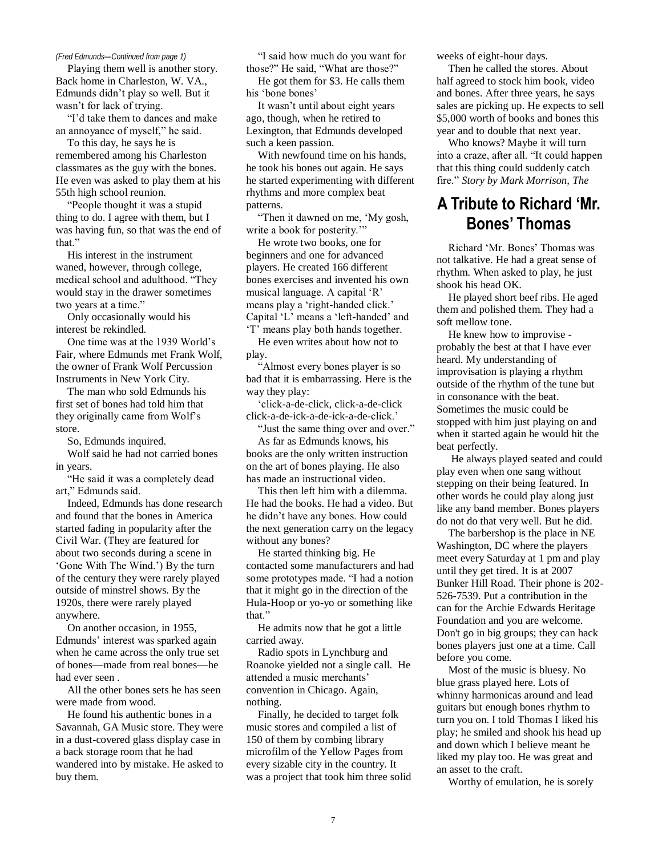Playing them well is another story. Back home in Charleston, W. VA., Edmunds didn"t play so well. But it wasn"t for lack of trying.

"I"d take them to dances and make an annoyance of myself," he said.

To this day, he says he is remembered among his Charleston classmates as the guy with the bones. He even was asked to play them at his 55th high school reunion.

"People thought it was a stupid thing to do. I agree with them, but I was having fun, so that was the end of that"

His interest in the instrument waned, however, through college, medical school and adulthood. "They would stay in the drawer sometimes two years at a time."

Only occasionally would his interest be rekindled.

One time was at the 1939 World"s Fair, where Edmunds met Frank Wolf, the owner of Frank Wolf Percussion Instruments in New York City.

The man who sold Edmunds his first set of bones had told him that they originally came from Wolf"s store.

So, Edmunds inquired.

Wolf said he had not carried bones in years.

"He said it was a completely dead art," Edmunds said.

Indeed, Edmunds has done research and found that the bones in America started fading in popularity after the Civil War. (They are featured for about two seconds during a scene in "Gone With The Wind.") By the turn of the century they were rarely played outside of minstrel shows. By the 1920s, there were rarely played anywhere.

On another occasion, in 1955, Edmunds" interest was sparked again when he came across the only true set of bones—made from real bones—he had ever seen .

All the other bones sets he has seen were made from wood.

He found his authentic bones in a Savannah, GA Music store. They were in a dust-covered glass display case in a back storage room that he had wandered into by mistake. He asked to buy them.

*(Fred Edmunds—Continued from page 1)* "I said how much do you want for those?" He said, "What are those?"

He got them for \$3. He calls them his 'bone bones'

It wasn"t until about eight years ago, though, when he retired to Lexington, that Edmunds developed such a keen passion.

With newfound time on his hands, he took his bones out again. He says he started experimenting with different rhythms and more complex beat patterns.

"Then it dawned on me, "My gosh, write a book for posterity."

He wrote two books, one for beginners and one for advanced players. He created 166 different bones exercises and invented his own musical language. A capital "R" means play a "right-handed click." Capital "L" means a "left-handed" and "T" means play both hands together.

He even writes about how not to play.

"Almost every bones player is so bad that it is embarrassing. Here is the way they play:

"click-a-de-click, click-a-de-click click-a-de-ick-a-de-ick-a-de-click."

"Just the same thing over and over."

As far as Edmunds knows, his books are the only written instruction on the art of bones playing. He also has made an instructional video.

This then left him with a dilemma. He had the books. He had a video. But he didn"t have any bones. How could the next generation carry on the legacy without any bones?

He started thinking big. He contacted some manufacturers and had some prototypes made. "I had a notion that it might go in the direction of the Hula-Hoop or yo-yo or something like that."

He admits now that he got a little carried away.

Radio spots in Lynchburg and Roanoke yielded not a single call. He attended a music merchants' convention in Chicago. Again, nothing.

Finally, he decided to target folk music stores and compiled a list of 150 of them by combing library microfilm of the Yellow Pages from every sizable city in the country. It was a project that took him three solid weeks of eight-hour days.

Then he called the stores. About half agreed to stock him book, video and bones. After three years, he says sales are picking up. He expects to sell \$5,000 worth of books and bones this year and to double that next year.

Who knows? Maybe it will turn into a craze, after all. "It could happen that this thing could suddenly catch fire." *Story by Mark Morrison, The* 

## **A Tribute to Richard 'Mr. Bones' Thomas**

Richard "Mr. Bones" Thomas was not talkative. He had a great sense of rhythm. When asked to play, he just shook his head OK.

He played short beef ribs. He aged them and polished them. They had a soft mellow tone.

He knew how to improvise probably the best at that I have ever heard. My understanding of improvisation is playing a rhythm outside of the rhythm of the tune but in consonance with the beat. Sometimes the music could be stopped with him just playing on and when it started again he would hit the beat perfectly.

He always played seated and could play even when one sang without stepping on their being featured. In other words he could play along just like any band member. Bones players do not do that very well. But he did.

The barbershop is the place in NE Washington, DC where the players meet every Saturday at 1 pm and play until they get tired. It is at 2007 Bunker Hill Road. Their phone is 202- 526-7539. Put a contribution in the can for the Archie Edwards Heritage Foundation and you are welcome. Don't go in big groups; they can hack bones players just one at a time. Call before you come.

Most of the music is bluesy. No blue grass played here. Lots of whinny harmonicas around and lead guitars but enough bones rhythm to turn you on. I told Thomas I liked his play; he smiled and shook his head up and down which I believe meant he liked my play too. He was great and an asset to the craft.

Worthy of emulation, he is sorely